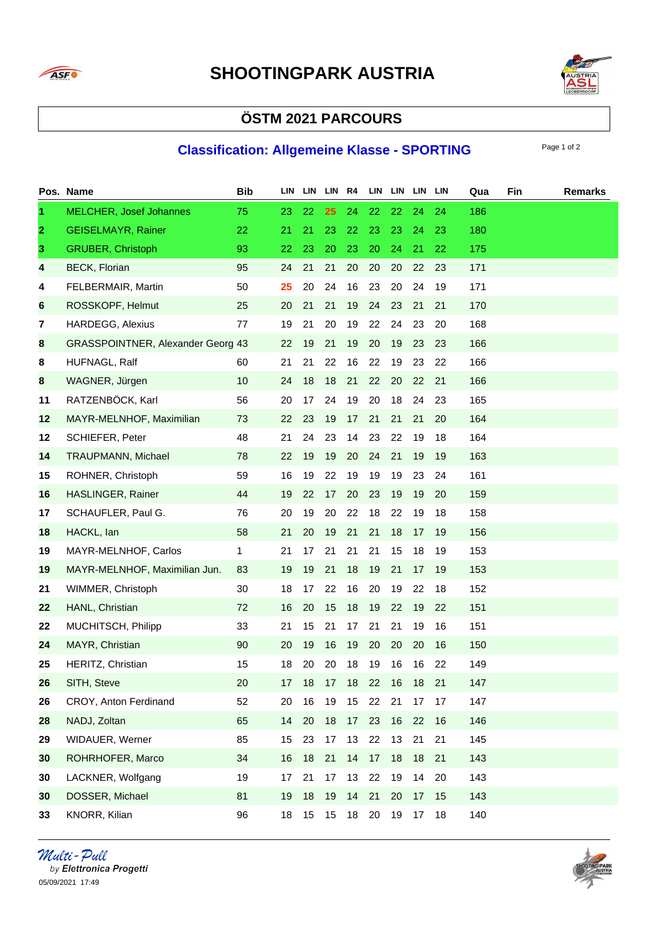



## **ÖSTM 2021 PARCOURS**

## **Classification: Allgemeine Klasse - SPORTING** Page 1 of 2

|              | Pos. Name                                | <b>Bib</b> | LIN | LIN LIN R4 |    |      |    | LIN LIN LIN LIN |    |    | Qua | Fin | <b>Remarks</b> |
|--------------|------------------------------------------|------------|-----|------------|----|------|----|-----------------|----|----|-----|-----|----------------|
| $\mathbf{1}$ | <b>MELCHER, Josef Johannes</b>           | 75         | 23  | 22         | 25 | 24   | 22 | 22              | 24 | 24 | 186 |     |                |
| $\mathbf{2}$ | <b>GEISELMAYR, Rainer</b>                | 22         | 21  | 21         | 23 | 22   | 23 | 23              | 24 | 23 | 180 |     |                |
| 3            | <b>GRUBER, Christoph</b>                 | 93         | 22  | 23         | 20 | 23   | 20 | 24              | 21 | 22 | 175 |     |                |
| 4            | <b>BECK, Florian</b>                     | 95         | 24  | 21         | 21 | 20   | 20 | 20              | 22 | 23 | 171 |     |                |
| 4            | FELBERMAIR, Martin                       | 50         | 25  | 20         | 24 | 16   | 23 | 20              | 24 | 19 | 171 |     |                |
| 6            | ROSSKOPF, Helmut                         | 25         | 20  | 21         | 21 | 19   | 24 | 23              | 21 | 21 | 170 |     |                |
| 7            | <b>HARDEGG, Alexius</b>                  | 77         | 19  | 21         | 20 | 19   | 22 | 24              | 23 | 20 | 168 |     |                |
| 8            | <b>GRASSPOINTNER, Alexander Georg 43</b> |            | 22  | 19         | 21 | 19   | 20 | 19              | 23 | 23 | 166 |     |                |
| 8            | HUFNAGL, Ralf                            | 60         | 21  | 21         | 22 | 16   | 22 | 19              | 23 | 22 | 166 |     |                |
| 8            | WAGNER, Jürgen                           | 10         | 24  | 18         | 18 | 21   | 22 | 20              | 22 | 21 | 166 |     |                |
| 11           | RATZENBÖCK, Karl                         | 56         | 20  | 17         | 24 | 19   | 20 | 18              | 24 | 23 | 165 |     |                |
| 12           | MAYR-MELNHOF, Maximilian                 | 73         | 22  | 23         | 19 | 17   | 21 | 21              | 21 | 20 | 164 |     |                |
| 12           | SCHIEFER, Peter                          | 48         | 21  | 24         | 23 | 14   | 23 | 22              | 19 | 18 | 164 |     |                |
| 14           | <b>TRAUPMANN, Michael</b>                | 78         | 22  | 19         | 19 | 20   | 24 | 21              | 19 | 19 | 163 |     |                |
| 15           | ROHNER, Christoph                        | 59         | 16  | 19         | 22 | 19   | 19 | 19              | 23 | 24 | 161 |     |                |
| 16           | HASLINGER, Rainer                        | 44         | 19  | 22         | 17 | 20   | 23 | 19              | 19 | 20 | 159 |     |                |
| 17           | SCHAUFLER, Paul G.                       | 76         | 20  | 19         | 20 | 22   | 18 | 22              | 19 | 18 | 158 |     |                |
| 18           | HACKL, Ian                               | 58         | 21  | 20         | 19 | 21   | 21 | 18              | 17 | 19 | 156 |     |                |
| 19           | MAYR-MELNHOF, Carlos                     | 1          | 21  | 17         | 21 | 21   | 21 | 15              | 18 | 19 | 153 |     |                |
| 19           | MAYR-MELNHOF, Maximilian Jun.            | 83         | 19  | 19         | 21 | 18   | 19 | 21              | 17 | 19 | 153 |     |                |
| 21           | WIMMER, Christoph                        | 30         | 18  | 17         | 22 | 16   | 20 | 19              | 22 | 18 | 152 |     |                |
| 22           | HANL, Christian                          | 72         | 16  | 20         | 15 | 18   | 19 | 22              | 19 | 22 | 151 |     |                |
| 22           | MUCHITSCH, Philipp                       | 33         | 21  | 15         | 21 | 17   | 21 | 21              | 19 | 16 | 151 |     |                |
| 24           | MAYR, Christian                          | 90         | 20  | 19         | 16 | 19   | 20 | 20              | 20 | 16 | 150 |     |                |
| 25           | HERITZ, Christian                        | 15         | 18  | 20         | 20 | 18   | 19 | 16              | 16 | 22 | 149 |     |                |
| 26           | SITH, Steve                              | $20\,$     | 17  | 18         | 17 | $18$ | 22 | 16              | 18 | 21 | 147 |     |                |
| 26           | CROY, Anton Ferdinand                    | 52         | 20  | 16         | 19 | 15   | 22 | 21              | 17 | 17 | 147 |     |                |
| 28           | NADJ, Zoltan                             | 65         | 14  | 20         | 18 | 17   | 23 | 16              | 22 | 16 | 146 |     |                |
| 29           | WIDAUER, Werner                          | 85         | 15  | 23         | 17 | 13   | 22 | 13              | 21 | 21 | 145 |     |                |
| 30           | ROHRHOFER, Marco                         | 34         | 16  | 18         | 21 | 14   | 17 | 18              | 18 | 21 | 143 |     |                |
| 30           | LACKNER, Wolfgang                        | 19         | 17  | 21         | 17 | 13   | 22 | 19              | 14 | 20 | 143 |     |                |
| 30           | DOSSER, Michael                          | 81         | 19  | 18         | 19 | 14   | 21 | 20              | 17 | 15 | 143 |     |                |
| 33           | KNORR, Kilian                            | 96         | 18  | 15         | 15 | 18   | 20 | 19              | 17 | 18 | 140 |     |                |

*Multi - Pull*<br>by Elettronica Progetti 05/09/2021 17:49